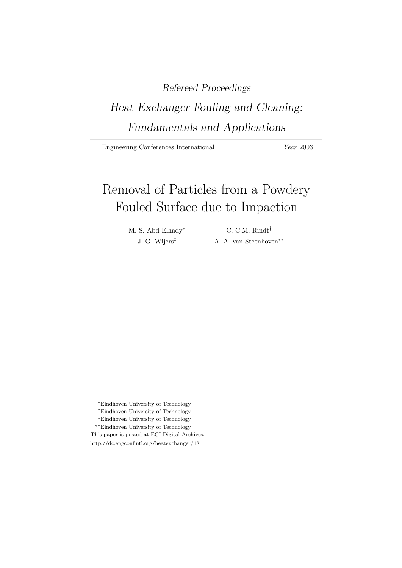# Refereed Proceedings

# Heat Exchanger Fouling and Cleaning: Fundamentals and Applications

Engineering Conferences International Year 2003

# Removal of Particles from a Powdery Fouled Surface due to Impaction

M. S. Abd-Elhady\* C. C.M. Rindt<sup>†</sup>

J. G. Wijers‡ A. A. van Steenhoven∗∗

<sup>∗</sup>Eindhoven University of Technology

- †Eindhoven University of Technology
- ‡Eindhoven University of Technology
- ∗∗Eindhoven University of Technology

This paper is posted at ECI Digital Archives.

http://dc.engconfintl.org/heatexchanger/18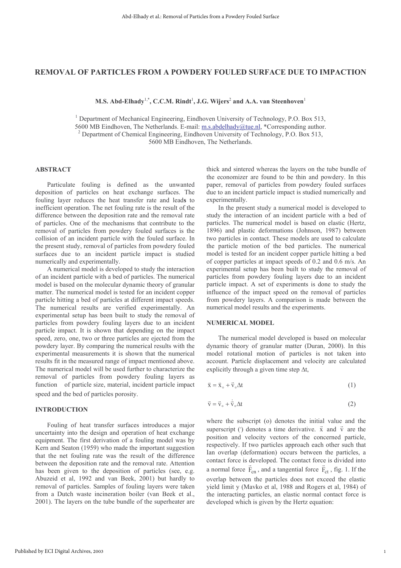# REMOVAL OF PARTICLES FROM A POWDERY FOULED SURFACE DUE TO IMPACTION

M.S. Abd-Elhady<sup>1,\*</sup>, C.C.M. Rindt<sup>1</sup>, J.G. Wijers<sup>2</sup> and A.A. van Steenhoven<sup>1</sup>

<sup>1</sup> Department of Mechanical Engineering, Eindhoven University of Technology, P.O. Box 513, 5600 MB Eindhoven, The Netherlands. E-mail: m.s.abdelhady@tue.nl, \*Corresponding author.  $^2$  Department of Chemical Engineering, Eindhoven University of Technology, P.O. Box 513, 5600 MB Eindhoven, The Netherlands.

# **ABSTRACT**

Particulate fouling is defined as the unwanted deposition of particles on heat exchange surfaces. The fouling layer reduces the heat transfer rate and leads to inefficient operation. The net fouling rate is the result of the difference between the deposition rate and the removal rate of particles. One of the mechanisms that contribute to the removal of particles from powdery fouled surfaces is the collision of an incident particle with the fouled surface. In the present study, removal of particles from powdery fouled surfaces due to an incident particle impact is studied numerically and experimentally.

A numerical model is developed to study the interaction of an incident particle with a bed of particles. The numerical model is based on the molecular dynamic theory of granular matter. The numerical model is tested for an incident copper particle hitting a bed of particles at different impact speeds. The numerical results are verified experimentally. An experimental setup has been built to study the removal of particles from powdery fouling layers due to an incident particle impact. It is shown that depending on the impact speed, zero, one, two or three particles are ejected from the powdery layer. By comparing the numerical results with the experimental measurements it is shown that the numerical results fit in the measured range of impact mentioned above. The numerical model will be used further to characterize the removal of particles from powdery fouling layers as function of particle size, material, incident particle impact speed and the bed of particles porosity.

# **INTRODUCTION**

Fouling of heat transfer surfaces introduces a major uncertainty into the design and operation of heat exchange equipment. The first derivation of a fouling model was by Kern and Seaton (1959) who made the important suggestion that the net fouling rate was the result of the difference between the deposition rate and the removal rate. Attention has been given to the deposition of particles (see, e.g. Abuzeid et al, 1992 and van Beek, 2001) but hardly to removal of particles. Samples of fouling layers were taken from a Dutch waste incineration boiler (van Beek et al., 2001). The layers on the tube bundle of the superheater are thick and sintered whereas the layers on the tube bundle of the economizer are found to be thin and powdery. In this paper, removal of particles from powdery fouled surfaces due to an incident particle impact is studied numerically and experimentally.

In the present study a numerical model is developed to study the interaction of an incident particle with a bed of particles. The numerical model is based on elastic (Hertz, 1896) and plastic deformations (Johnson, 1987) between two particles in contact. These models are used to calculate the particle motion of the bed particles. The numerical model is tested for an incident copper particle hitting a bed of copper particles at impact speeds of 0.2 and 0.6 m/s. An experimental setup has been built to study the removal of particles from powdery fouling layers due to an incident particle impact. A set of experiments is done to study the influence of the impact speed on the removal of particles from powdery layers. A comparison is made between the numerical model results and the experiments.

# **NUMERICAL MODEL**

The numerical model developed is based on molecular dynamic theory of granular matter (Duran, 2000). In this model rotational motion of particles is not taken into account. Particle displacement and velocity are calculated explicitly through a given time step  $\Delta t$ ,

$$
\vec{x} = \vec{x}_\circ + \vec{v}_\circ \Delta t \tag{1}
$$

$$
\vec{v} = \vec{v}_o + \vec{v}_o \Delta t \tag{2}
$$

where the subscript (o) denotes the initial value and the superscript () denotes a time derivative.  $\vec{x}$  and  $\vec{v}$  are the position and velocity vectors of the concerned particle, respectively. If two particles approach each other such that Ian overlap (deformation) occurs between the particles, a contact force is developed. The contact force is divided into a normal force  $\vec{F}_{cn}$ , and a tangential force  $\vec{F}_{ct}$ , fig. 1. If the overlap between the particles does not exceed the elastic yield limit y (Mavko et al, 1988 and Rogers et al, 1984) of the interacting particles, an elastic normal contact force is developed which is given by the Hertz equation: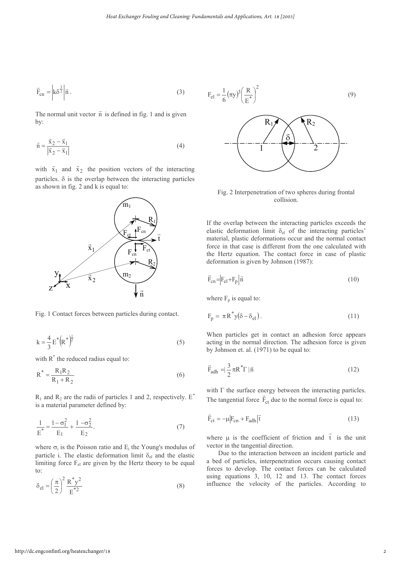$$
\vec{F}_{cn} = \left| k \delta^{\frac{3}{2}} \right| \vec{n} \,. \tag{3}
$$

The normal unit vector  $\vec{n}$  is defined in fig. 1 and is given by:

$$
\vec{n} = \frac{\vec{x}_2 - \vec{x}_1}{|\vec{x}_2 - \vec{x}_1|}
$$
 (4)

with  $\vec{x}_1$  and  $\vec{x}_2$  the position vectors of the interacting particles.  $\delta$  is the overlap between the interacting particles as shown in fig. 2 and k is equal to:



Fig. 1 Contact forces between particles during contact.

$$
k = \frac{4}{3} E^* (R^*)^{\frac{1}{2}}
$$
 (5)

with  $R^*$  the reduced radius equal to:

$$
R^* = \frac{R_1 R_2}{R_1 + R_2}
$$
 (6)

 $R_1$  and  $R_2$  are the radii of particles 1 and 2, respectively. E<sup>\*</sup> is a material parameter defined by:

$$
\frac{1}{E^*} = \frac{1 - \sigma_1^2}{E_1} + \frac{1 - \sigma_2^2}{E_2}.
$$
 (7)

where  $\sigma_i$  is the Poisson ratio and  $E_i$  the Young's modulus of particle i. The elastic deformation limit  $\delta_{el}$  and the elastic limiting force  $F_{el}$  are given by the Hertz theory to be equal  $\alpha$ :

$$
\delta_{\rm el} = \left(\frac{\pi}{2}\right)^2 \frac{\rm R^* y^2}{\rm E^{*2}}\tag{8}
$$



Fig. 2 Interpenetration of two spheres during frontal collision.

 $\mathfrak{D}$ 

If the overlap between the interacting particles exceeds the elastic deformation limit  $\delta_{el}$  of the interacting particles' material, plastic deformations occur and the normal contact force in that case is different from the one calculated with the Hertz equation. The contact force in case of plastic deformation is given by Johnson (1987):

$$
\vec{F}_{cn} = \left| F_{el} + F_p \right| \vec{n} \tag{10}
$$

where  $F_p$  is equal to:

$$
F_p = \pi R^* y (\delta - \delta_{el}). \tag{11}
$$

When particles get in contact an adhesion force appears acting in the normal direction. The adhesion force is given by Johnson et. al. (1971) to be equal to:

$$
\vec{F}_{\text{adh}} = \frac{3}{2} \pi R^* \Gamma | \vec{n} \tag{12}
$$

with  $\Gamma$  the surface energy between the interacting particles. The tangential force  $\vec{F}_{ct}$  due to the normal force is equal to:

$$
\vec{F}_{ct} = -\mu |F_{cn} + F_{adh}|\vec{t}
$$
\n(13)

where  $\mu$  is the coefficient of friction and  $\vec{t}$  is the unit vector in the tangential direction.

Due to the interaction between an incident particle and a bed of particles, interpenetration occurs causing contact forces to develop. The contact forces can be calculated using equations  $3$ , 10, 12 and 13. The contact forces influence the velocity of the particles. According to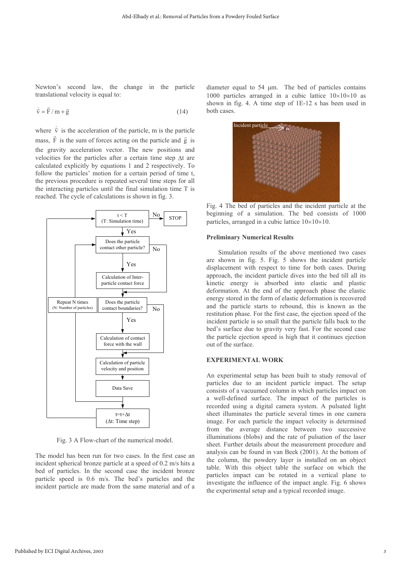Newton's second law, the change in the particle translational velocity is equal to:

$$
\dot{\vec{v}} = \vec{F} / m + \vec{g}
$$
 (14)

where  $\dot{\vec{v}}$  is the acceleration of the particle, m is the particle mass,  $\vec{F}$  is the sum of forces acting on the particle and  $\vec{g}$  is the gravity acceleration vector. The new positions and velocities for the particles after a certain time step  $\Delta t$  are calculated explicitly by equations 1 and 2 respectively. To follow the particles' motion for a certain period of time t, the previous procedure is repeated several time steps for all the interacting particles until the final simulation time T is reached. The cycle of calculations is shown in fig. 3.



Fig. 3 A Flow-chart of the numerical model.

The model has been run for two cases. In the first case an incident spherical bronze particle at a speed of 0.2 m/s hits a bed of particles. In the second case the incident bronze particle speed is 0.6 m/s. The bed's particles and the incident particle are made from the same material and of a

diameter equal to  $54 \mu m$ . The bed of particles contains 1000 particles arranged in a cubic lattice  $10 \times 10 \times 10$  as shown in fig. 4. A time step of  $1E-12$  s has been used in both cases.



Fig. 4 The bed of particles and the incident particle at the beginning of a simulation. The bed consists of 1000 particles, arranged in a cubic lattice  $10 \times 10 \times 10$ .

#### **Preliminary Numerical Results**

Simulation results of the above mentioned two cases are shown in fig. 5. Fig. 5 shows the incident particle displacement with respect to time for both cases. During approach, the incident particle dives into the bed till all its kinetic energy is absorbed into elastic and plastic deformation. At the end of the approach phase the elastic energy stored in the form of elastic deformation is recovered and the particle starts to rebound, this is known as the restitution phase. For the first case, the ejection speed of the incident particle is so small that the particle falls back to the bed's surface due to gravity very fast. For the second case the particle ejection speed is high that it continues ejection out of the surface.

#### EXPERIMENTAL WORK

An experimental setup has been built to study removal of particles due to an incident particle impact. The setup consists of a vacuumed column in which particles impact on a well-defined surface. The impact of the particles is recorded using a digital camera system. A pulsated light sheet illuminates the particle several times in one camera image. For each particle the impact velocity is determined from the average distance between two successive illuminations (blobs) and the rate of pulsation of the laser sheet. Further details about the measurement procedure and analysis can be found in van Beek (2001). At the bottom of the column, the powdery layer is installed on an object table. With this object table the surface on which the particles impact can be rotated in a vertical plane to investigate the influence of the impact angle. Fig. 6 shows the experimental setup and a typical recorded image.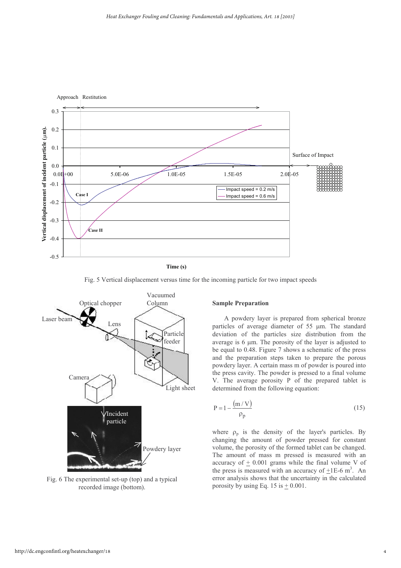

**Time (s)**

Fig. 5 Vertical displacement versus time for the incoming particle for two impact speeds



Fig. 6 The experimental set-up (top) and a typical recorded image (bottom).

#### **Sample Preparation**

A powdery layer is prepared from spherical bronze particles of average diameter of  $55 \mu m$ . The standard deviation of the particles size distribution from the average is  $6 \mu m$ . The porosity of the layer is adjusted to be equal to 0.48. Figure 7 shows a schematic of the press and the preparation steps taken to prepare the porous powdery layer. A certain mass m of powder is poured into the press cavity. The powder is pressed to a final volume V. The average porosity  $P$  of the prepared tablet is determined from the following equation:

$$
P = 1 - \frac{(m/V)}{\rho_p} \tag{15}
$$

where  $\rho_p$  is the density of the layer's particles. By changing the amount of powder pressed for constant volume, the porosity of the formed tablet can be changed. The amount of mass m pressed is measured with an accuracy of  $\pm$  0.001 grams while the final volume V of the press is measured with an accuracy of  $\pm 1E$ -6 m<sup>3</sup>. An error analysis shows that the uncertainty in the calculated porosity by using Eq. 15 is  $\pm$  0.001.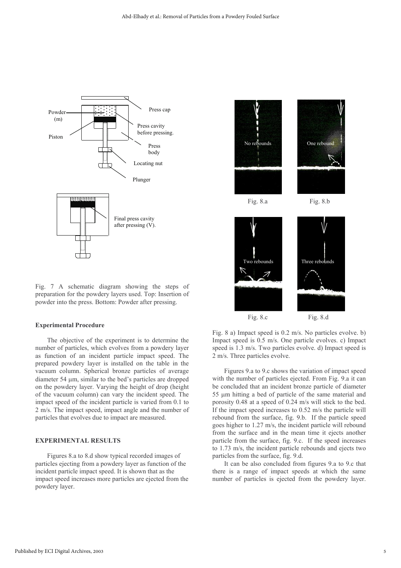

Fig. 7 A schematic diagram showing the steps of preparation for the powdery layers used. Top: Insertion of powder into the press. Bottom: Powder after pressing.

#### **Experimental Procedure**

The objective of the experiment is to determine the number of particles, which evolves from a powdery layer as function of an incident particle impact speed. The prepared powdery layer is installed on the table in the vacuum column. Spherical bronze particles of average diameter 54  $\mu$ m, similar to the bed's particles are dropped on the powdery layer. Varying the height of drop (height of the vacuum column) can vary the incident speed. The impact speed of the incident particle is varied from 0.1 to 2 m/s. The impact speed, impact angle and the number of particles that evolves due to impact are measured.

#### EXPERIMENTAL RESULTS

Figures 8.a to 8.d show typical recorded images of particles ejecting from a powdery layer as function of the incident particle impact speed. It is shown that as the impact speed increases more particles are ejected from the powdery layer.



Fig. 8.c

Fig. 8 a) Impact speed is  $0.2 \text{ m/s}$ . No particles evolve. b) Impact speed is 0.5 m/s. One particle evolves. c) Impact speed is 1.3 m/s. Two particles evolve. d) Impact speed is 2 m/s. Three particles evolve.

Figures 9.a to 9.c shows the variation of impact speed with the number of particles ejected. From Fig. 9.a it can be concluded that an incident bronze particle of diameter 55 µm hitting a bed of particle of the same material and porosity  $0.48$  at a speed of  $0.24$  m/s will stick to the bed. If the impact speed increases to  $0.52$  m/s the particle will rebound from the surface, fig. 9.b. If the particle speed goes higher to 1.27 m/s, the incident particle will rebound from the surface and in the mean time it ejects another particle from the surface, fig. 9.c. If the speed increases to  $1.73$  m/s, the incident particle rebounds and ejects two particles from the surface, fig. 9.d.

It can be also concluded from figures 9.a to 9.c that there is a range of impact speeds at which the same number of particles is ejected from the powdery layer.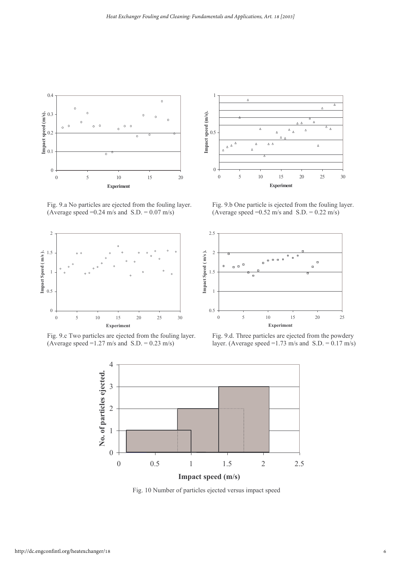

Fig. 9.a No particles are ejected from the fouling layer. (Average speed =  $0.24$  m/s and S.D. =  $0.07$  m/s) (Avera



Fig. 9.c Two particles are ejected from the fouling layer. (Average speed =  $1.27$  m/s and S.D. =  $0.23$  m/s) layer.



Fig. 9.b One particle is ejected from the fouling layer. (Average speed =  $0.52$  m/s and S.D. =  $0.22$  m/s)



Fig. 9.d. Three particles are ejected from the powdery  $\therefore$  (Average speed =1.73 m/s and S.D. = 0.17 m/s)



Fig. 10 Number of particles ejected versus impact speed